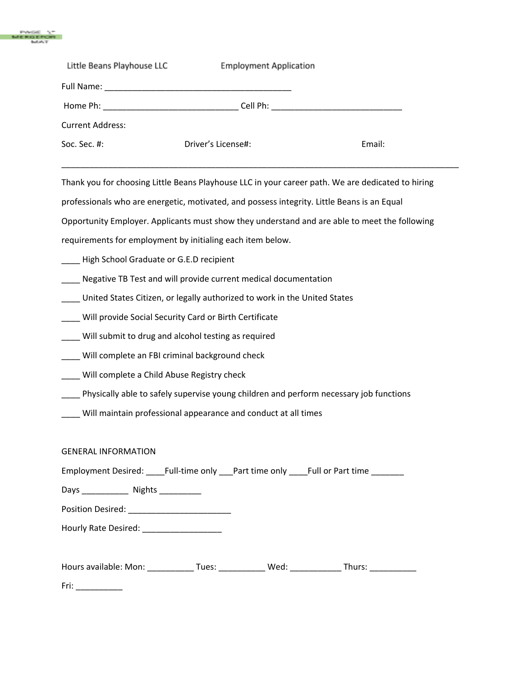

| Little Beans Playhouse LLC | <b>Employment Application</b> |        |
|----------------------------|-------------------------------|--------|
|                            |                               |        |
|                            |                               |        |
| <b>Current Address:</b>    |                               |        |
| Soc. Sec. $#$ :            | Driver's License#:            | Email: |
|                            |                               |        |

Thank you for choosing Little Beans Playhouse LLC in your career path. We are dedicated to hiring

professionals who are energetic, motivated, and possess integrity. Little Beans is an Equal

Opportunity Employer. Applicants must show they understand and are able to meet the following

requirements for employment by initialing each item below.

\_\_\_\_ High School Graduate or G.E.D recipient

- Negative TB Test and will provide current medical documentation
- \_\_\_\_ United States Citizen, or legally authorized to work in the United States
- \_\_\_\_ Will provide Social Security Card or Birth Certificate
- \_\_\_\_ Will submit to drug and alcohol testing as required
- \_\_\_\_ Will complete an FBI criminal background check
- \_\_\_\_ Will complete a Child Abuse Registry check
- \_\_\_\_ Physically able to safely supervise young children and perform necessary job functions
- \_\_\_\_ Will maintain professional appearance and conduct at all times

### GENERAL INFORMATION

Employment Desired: \_\_\_\_Full-time only \_\_\_Part time only \_\_\_\_Full or Part time \_\_\_\_\_\_\_

Days \_\_\_\_\_\_\_\_\_\_\_\_\_\_\_\_ Nights \_\_\_\_\_\_\_\_\_\_\_\_\_

Position Desired: \_\_\_\_\_\_\_\_\_\_\_\_\_\_\_\_\_\_\_\_\_\_

Hourly Rate Desired: \_\_\_\_\_\_\_\_\_\_\_\_\_\_\_\_\_

| Hours available: Mon: | ues: | Wed<br>ັບ | hurs: |  |
|-----------------------|------|-----------|-------|--|
|                       |      |           |       |  |

Fri: \_\_\_\_\_\_\_\_\_\_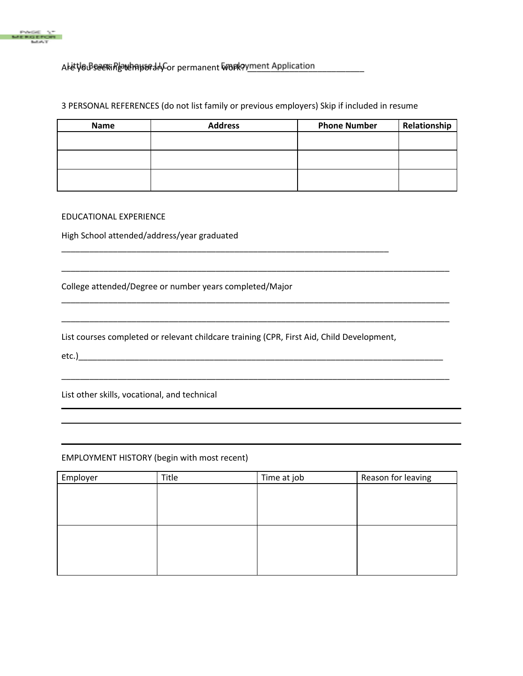

# Are you be easily seeking the permanent work of the Application

## 3 PERSONAL REFERENCES (do not list family or previous employers) Skip if included in resume

| <b>Name</b> | <b>Address</b> | <b>Phone Number</b> | Relationship |
|-------------|----------------|---------------------|--------------|
|             |                |                     |              |
|             |                |                     |              |
|             |                |                     |              |

\_\_\_\_\_\_\_\_\_\_\_\_\_\_\_\_\_\_\_\_\_\_\_\_\_\_\_\_\_\_\_\_\_\_\_\_\_\_\_\_\_\_\_\_\_\_\_\_\_\_\_\_\_\_\_\_\_\_\_\_\_\_\_\_\_\_\_\_\_\_\_\_\_\_\_\_\_\_\_\_\_\_\_

\_\_\_\_\_\_\_\_\_\_\_\_\_\_\_\_\_\_\_\_\_\_\_\_\_\_\_\_\_\_\_\_\_\_\_\_\_\_\_\_\_\_\_\_\_\_\_\_\_\_\_\_\_\_\_\_\_\_\_\_\_\_\_\_\_\_\_\_\_\_\_\_\_\_\_\_\_\_\_\_\_\_\_

\_\_\_\_\_\_\_\_\_\_\_\_\_\_\_\_\_\_\_\_\_\_\_\_\_\_\_\_\_\_\_\_\_\_\_\_\_\_\_\_\_\_\_\_\_\_\_\_\_\_\_\_\_\_\_\_\_\_\_\_\_\_\_\_\_\_\_\_\_\_\_\_\_\_\_\_\_\_\_\_\_\_\_

\_\_\_\_\_\_\_\_\_\_\_\_\_\_\_\_\_\_\_\_\_\_\_\_\_\_\_\_\_\_\_\_\_\_\_\_\_\_\_\_\_\_\_\_\_\_\_\_\_\_\_\_\_\_\_\_\_\_\_\_\_\_\_\_\_\_\_\_\_\_\_\_\_\_\_\_\_\_\_\_\_\_\_

## EDUCATIONAL EXPERIENCE

High School attended/address/year graduated

College attended/Degree or number years completed/Major

List courses completed or relevant childcare training (CPR, First Aid, Child Development,

\_\_\_\_\_\_\_\_\_\_\_\_\_\_\_\_\_\_\_\_\_\_\_\_\_\_\_\_\_\_\_\_\_\_\_\_\_\_\_\_\_\_\_\_\_\_\_\_\_\_\_\_\_\_\_\_\_\_\_\_\_\_\_\_\_\_\_\_\_\_

etc.)\_\_\_\_\_\_\_\_\_\_\_\_\_\_\_\_\_\_\_\_\_\_\_\_\_\_\_\_\_\_\_\_\_\_\_\_\_\_\_\_\_\_\_\_\_\_\_\_\_\_\_\_\_\_\_\_\_\_\_\_\_\_\_\_\_\_\_\_\_\_\_\_\_\_\_\_\_\_

List other skills, vocational, and technical

### EMPLOYMENT HISTORY (begin with most recent)

| Employer | Title | Time at job | Reason for leaving |
|----------|-------|-------------|--------------------|
|          |       |             |                    |
|          |       |             |                    |
|          |       |             |                    |
|          |       |             |                    |
|          |       |             |                    |
|          |       |             |                    |
|          |       |             |                    |
|          |       |             |                    |
|          |       |             |                    |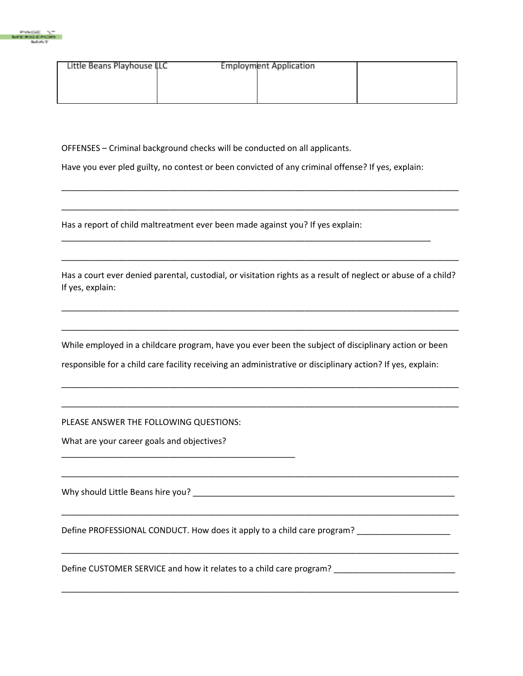

| Little Beans Playhouse LLC | <b>Employment Application</b> |  |
|----------------------------|-------------------------------|--|
|                            |                               |  |
|                            |                               |  |
|                            |                               |  |

OFFENSES – Criminal background checks will be conducted on all applicants.

Have you ever pled guilty, no contest or been convicted of any criminal offense? If yes, explain:

\_\_\_\_\_\_\_\_\_\_\_\_\_\_\_\_\_\_\_\_\_\_\_\_\_\_\_\_\_\_\_\_\_\_\_\_\_\_\_\_\_\_\_\_\_\_\_\_\_\_\_\_\_\_\_\_\_\_\_\_\_\_\_\_\_\_\_\_\_\_\_\_\_\_\_\_\_\_\_

Has a report of child maltreatment ever been made against you? If yes explain:

Has a court ever denied parental, custodial, or visitation rights as a result of neglect or abuse of a child? If yes, explain:

\_\_\_\_\_\_\_\_\_\_\_\_\_\_\_\_\_\_\_\_\_\_\_\_\_\_\_\_\_\_\_\_\_\_\_\_\_\_\_\_\_\_\_\_\_\_\_\_\_\_\_\_\_\_\_\_\_\_\_\_\_\_\_\_\_\_\_\_\_\_\_\_\_\_\_\_\_\_\_\_\_\_\_\_\_

\_\_\_\_\_\_\_\_\_\_\_\_\_\_\_\_\_\_\_\_\_\_\_\_\_\_\_\_\_\_\_\_\_\_\_\_\_\_\_\_\_\_\_\_\_\_\_\_\_\_\_\_\_\_\_\_\_\_\_\_\_\_\_\_\_\_\_\_\_\_\_\_\_\_\_\_\_\_\_\_\_\_\_\_\_

\_\_\_\_\_\_\_\_\_\_\_\_\_\_\_\_\_\_\_\_\_\_\_\_\_\_\_\_\_\_\_\_\_\_\_\_\_\_\_\_\_\_\_\_\_\_\_\_\_\_\_\_\_\_\_\_\_\_\_\_\_\_\_\_\_\_\_\_\_\_\_\_\_\_\_\_\_\_\_\_\_\_\_\_\_

\_\_\_\_\_\_\_\_\_\_\_\_\_\_\_\_\_\_\_\_\_\_\_\_\_\_\_\_\_\_\_\_\_\_\_\_\_\_\_\_\_\_\_\_\_\_\_\_\_\_\_\_\_\_\_\_\_\_\_\_\_\_\_\_\_\_\_\_\_\_\_\_\_\_\_\_\_\_\_\_\_\_\_\_\_

\_\_\_\_\_\_\_\_\_\_\_\_\_\_\_\_\_\_\_\_\_\_\_\_\_\_\_\_\_\_\_\_\_\_\_\_\_\_\_\_\_\_\_\_\_\_\_\_\_\_\_\_\_\_\_\_\_\_\_\_\_\_\_\_\_\_\_\_\_\_\_\_\_\_\_\_\_\_\_\_\_\_\_\_\_

\_\_\_\_\_\_\_\_\_\_\_\_\_\_\_\_\_\_\_\_\_\_\_\_\_\_\_\_\_\_\_\_\_\_\_\_\_\_\_\_\_\_\_\_\_\_\_\_\_\_\_\_\_\_\_\_\_\_\_\_\_\_\_\_\_\_\_\_\_\_\_\_\_\_\_\_\_\_\_\_\_\_\_\_\_

\_\_\_\_\_\_\_\_\_\_\_\_\_\_\_\_\_\_\_\_\_\_\_\_\_\_\_\_\_\_\_\_\_\_\_\_\_\_\_\_\_\_\_\_\_\_\_\_\_\_\_\_\_\_\_\_\_\_\_\_\_\_\_\_\_\_\_\_\_\_\_\_\_\_\_\_\_\_\_\_\_\_\_\_\_

\_\_\_\_\_\_\_\_\_\_\_\_\_\_\_\_\_\_\_\_\_\_\_\_\_\_\_\_\_\_\_\_\_\_\_\_\_\_\_\_\_\_\_\_\_\_\_\_\_\_\_\_\_\_\_\_\_\_\_\_\_\_\_\_\_\_\_\_\_\_\_\_\_\_\_\_\_\_\_\_\_\_\_\_\_

\_\_\_\_\_\_\_\_\_\_\_\_\_\_\_\_\_\_\_\_\_\_\_\_\_\_\_\_\_\_\_\_\_\_\_\_\_\_\_\_\_\_\_\_\_\_\_\_\_\_\_\_\_\_\_\_\_\_\_\_\_\_\_\_\_\_\_\_\_\_\_\_\_\_\_\_\_\_\_\_\_\_\_\_\_

\_\_\_\_\_\_\_\_\_\_\_\_\_\_\_\_\_\_\_\_\_\_\_\_\_\_\_\_\_\_\_\_\_\_\_\_\_\_\_\_\_\_\_\_\_\_\_\_\_\_\_\_\_\_\_\_\_\_\_\_\_\_\_\_\_\_\_\_\_\_\_\_\_\_\_\_\_\_\_\_\_\_\_\_\_

\_\_\_\_\_\_\_\_\_\_\_\_\_\_\_\_\_\_\_\_\_\_\_\_\_\_\_\_\_\_\_\_\_\_\_\_\_\_\_\_\_\_\_\_\_\_\_\_\_\_\_\_\_\_\_\_\_\_\_\_\_\_\_\_\_\_\_\_\_\_\_\_\_\_\_\_\_\_\_\_\_\_\_\_\_

While employed in a childcare program, have you ever been the subject of disciplinary action or been

responsible for a child care facility receiving an administrative or disciplinary action? If yes, explain:

PLEASE ANSWER THE FOLLOWING QUESTIONS:

\_\_\_\_\_\_\_\_\_\_\_\_\_\_\_\_\_\_\_\_\_\_\_\_\_\_\_\_\_\_\_\_\_\_\_\_\_\_\_\_\_\_\_\_\_\_\_\_\_\_

What are your career goals and objectives?

Why should Little Beans hire you? \_\_\_\_\_\_\_\_\_\_\_\_\_\_\_\_\_\_\_\_\_\_\_\_\_\_\_\_\_\_\_\_\_\_\_\_\_\_\_\_\_\_\_\_\_\_\_\_\_\_\_\_\_\_\_\_

Define PROFESSIONAL CONDUCT. How does it apply to a child care program? \_\_\_\_\_\_\_\_\_\_\_\_\_\_\_\_\_\_\_\_\_\_

Define CUSTOMER SERVICE and how it relates to a child care program? \_\_\_\_\_\_\_\_\_\_\_\_\_\_\_\_\_\_\_\_\_\_\_\_\_\_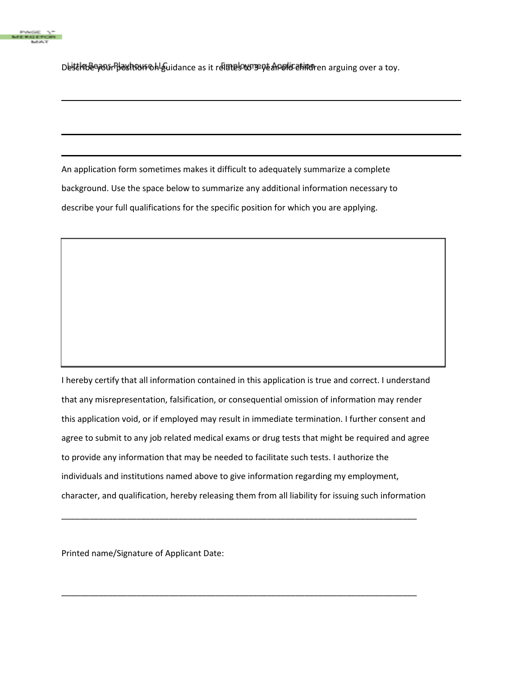

Desterne wor position on guidance as it relates to 3-year-old caling over a toy.

An application form sometimes makes it difficult to adequately summarize a complete background. Use the space below to summarize any additional information necessary to describe your full qualifications for the specific position for which you are applying.

I hereby certify that all information contained in this application is true and correct. I understand that any misrepresentation, falsification, or consequential omission of information may render this application void, or if employed may result in immediate termination. I further consent and agree to submit to any job related medical exams or drug tests that might be required and agree to provide any information that may be needed to facilitate such tests. I authorize the individuals and institutions named above to give information regarding my employment, character, and qualification, hereby releasing them from all liability for issuing such information

\_\_\_\_\_\_\_\_\_\_\_\_\_\_\_\_\_\_\_\_\_\_\_\_\_\_\_\_\_\_\_\_\_\_\_\_\_\_\_\_\_\_\_\_\_\_\_\_\_\_\_\_\_\_\_\_\_\_\_\_\_\_\_\_\_\_\_\_\_\_\_\_\_\_\_\_

\_\_\_\_\_\_\_\_\_\_\_\_\_\_\_\_\_\_\_\_\_\_\_\_\_\_\_\_\_\_\_\_\_\_\_\_\_\_\_\_\_\_\_\_\_\_\_\_\_\_\_\_\_\_\_\_\_\_\_\_\_\_\_\_\_\_\_\_\_\_\_\_\_\_\_\_

Printed name/Signature of Applicant Date: